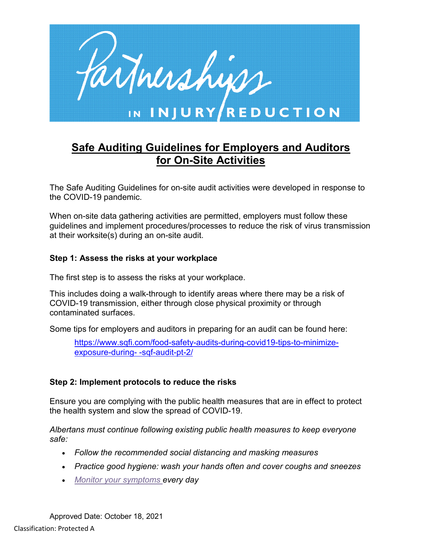

# **Safe Auditing Guidelines for Employers and Auditors for On-Site Activities**

The Safe Auditing Guidelines for on-site audit activities were developed in response to the COVID-19 pandemic.

When on-site data gathering activities are permitted, employers must follow these guidelines and implement procedures/processes to reduce the risk of virus transmission at their worksite(s) during an on-site audit.

#### **Step 1: Assess the risks at your workplace**

The first step is to assess the risks at your workplace.

This includes doing a walk-through to identify areas where there may be a risk of COVID-19 transmission, either through close physical proximity or through contaminated surfaces.

Some tips for employers and auditors in preparing for an audit can be found here:

[https://www.sqfi.com/food-safety-audits-during-covid19-tips-to-minimize](https://www.sqfi.com/food-safety-audits-during-covid19-tips-to-minimize-exposure-during-an-sqf-audit-pt-2/)[exposure-during-](https://www.sqfi.com/food-safety-audits-during-covid19-tips-to-minimize-exposure-during-an-sqf-audit-pt-2/) -sqf-audit-pt-2/

#### **Step 2: Implement protocols to reduce the risks**

Ensure you are complying with the public health measures that are in effect to protect the health system and slow the spread of COVID-19.

*Albertans must continue following existing public health measures to keep everyone safe:*

- *Follow the recommended social distancing and masking measures*
- *Practice good hygiene: wash your hands often and cover coughs and sneezes*
- *[Monitor your symptoms](https://www.alberta.ca/covid-19-testing-in-alberta.aspx) every day*